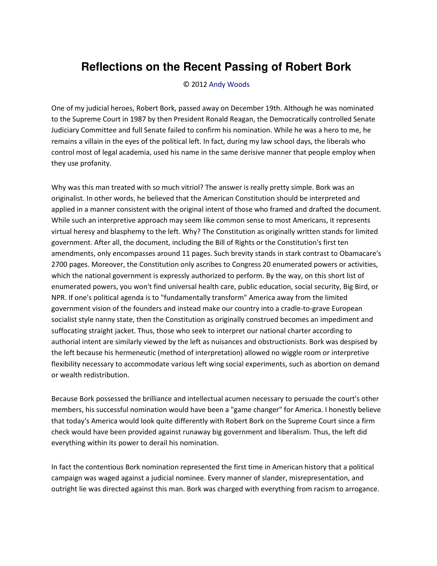## **Reflections on the Recent Passing of Robert Bork**

## © 2012 [Andy Woods](http://www.spiritandtruth.org/id/aw.htm)

One of my judicial heroes, Robert Bork, passed away on December 19th. Although he was nominated to the Supreme Court in 1987 by then President Ronald Reagan, the Democratically controlled Senate Judiciary Committee and full Senate failed to confirm his nomination. While he was a hero to me, he remains a villain in the eyes of the political left. In fact, during my law school days, the liberals who control most of legal academia, used his name in the same derisive manner that people employ when they use profanity.

Why was this man treated with so much vitriol? The answer is really pretty simple. Bork was an originalist. In other words, he believed that the American Constitution should be interpreted and applied in a manner consistent with the original intent of those who framed and drafted the document. While such an interpretive approach may seem like common sense to most Americans, it represents virtual heresy and blasphemy to the left. Why? The Constitution as originally written stands for limited government. After all, the document, including the Bill of Rights or the Constitution's first ten amendments, only encompasses around 11 pages. Such brevity stands in stark contrast to Obamacare's 2700 pages. Moreover, the Constitution only ascribes to Congress 20 enumerated powers or activities, which the national government is expressly authorized to perform. By the way, on this short list of enumerated powers, you won't find universal health care, public education, social security, Big Bird, or NPR. If one's political agenda is to "fundamentally transform" America away from the limited government vision of the founders and instead make our country into a cradle-to-grave European socialist style nanny state, then the Constitution as originally construed becomes an impediment and suffocating straight jacket. Thus, those who seek to interpret our national charter according to authorial intent are similarly viewed by the left as nuisances and obstructionists. Bork was despised by the left because his hermeneutic (method of interpretation) allowed no wiggle room or interpretive flexibility necessary to accommodate various left wing social experiments, such as abortion on demand or wealth redistribution.

Because Bork possessed the brilliance and intellectual acumen necessary to persuade the court's other members, his successful nomination would have been a "game changer" for America. I honestly believe that today's America would look quite differently with Robert Bork on the Supreme Court since a firm check would have been provided against runaway big government and liberalism. Thus, the left did everything within its power to derail his nomination.

In fact the contentious Bork nomination represented the first time in American history that a political campaign was waged against a judicial nominee. Every manner of slander, misrepresentation, and outright lie was directed against this man. Bork was charged with everything from racism to arrogance.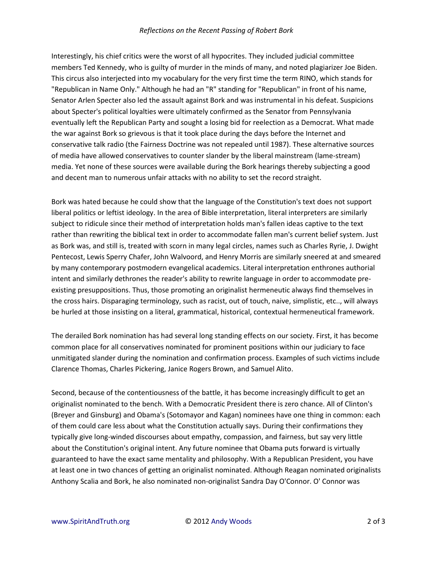## *Reflections on the Recent Passing of Robert Bork*

Interestingly, his chief critics were the worst of all hypocrites. They included judicial committee members Ted Kennedy, who is guilty of murder in the minds of many, and noted plagiarizer Joe Biden. This circus also interjected into my vocabulary for the very first time the term RINO, which stands for "Republican in Name Only." Although he had an "R" standing for "Republican" in front of his name, Senator Arlen Specter also led the assault against Bork and was instrumental in his defeat. Suspicions about Specter's political loyalties were ultimately confirmed as the Senator from Pennsylvania eventually left the Republican Party and sought a losing bid for reelection as a Democrat. What made the war against Bork so grievous is that it took place during the days before the Internet and conservative talk radio (the Fairness Doctrine was not repealed until 1987). These alternative sources of media have allowed conservatives to counter slander by the liberal mainstream (lame-stream) media. Yet none of these sources were available during the Bork hearings thereby subjecting a good and decent man to numerous unfair attacks with no ability to set the record straight.

Bork was hated because he could show that the language of the Constitution's text does not support liberal politics or leftist ideology. In the area of Bible interpretation, literal interpreters are similarly subject to ridicule since their method of interpretation holds man's fallen ideas captive to the text rather than rewriting the biblical text in order to accommodate fallen man's current belief system. Just as Bork was, and still is, treated with scorn in many legal circles, names such as Charles Ryrie, J. Dwight Pentecost, Lewis Sperry Chafer, John Walvoord, and Henry Morris are similarly sneered at and smeared by many contemporary postmodern evangelical academics. Literal interpretation enthrones authorial intent and similarly dethrones the reader's ability to rewrite language in order to accommodate preexisting presuppositions. Thus, those promoting an originalist hermeneutic always find themselves in the cross hairs. Disparaging terminology, such as racist, out of touch, naive, simplistic, etc.., will always be hurled at those insisting on a literal, grammatical, historical, contextual hermeneutical framework.

The derailed Bork nomination has had several long standing effects on our society. First, it has become common place for all conservatives nominated for prominent positions within our judiciary to face unmitigated slander during the nomination and confirmation process. Examples of such victims include Clarence Thomas, Charles Pickering, Janice Rogers Brown, and Samuel Alito.

Second, because of the contentiousness of the battle, it has become increasingly difficult to get an originalist nominated to the bench. With a Democratic President there is zero chance. All of Clinton's (Breyer and Ginsburg) and Obama's (Sotomayor and Kagan) nominees have one thing in common: each of them could care less about what the Constitution actually says. During their confirmations they typically give long-winded discourses about empathy, compassion, and fairness, but say very little about the Constitution's original intent. Any future nominee that Obama puts forward is virtually guaranteed to have the exact same mentality and philosophy. With a Republican President, you have at least one in two chances of getting an originalist nominated. Although Reagan nominated originalists Anthony Scalia and Bork, he also nominated non-originalist Sandra Day O'Connor. O' Connor was